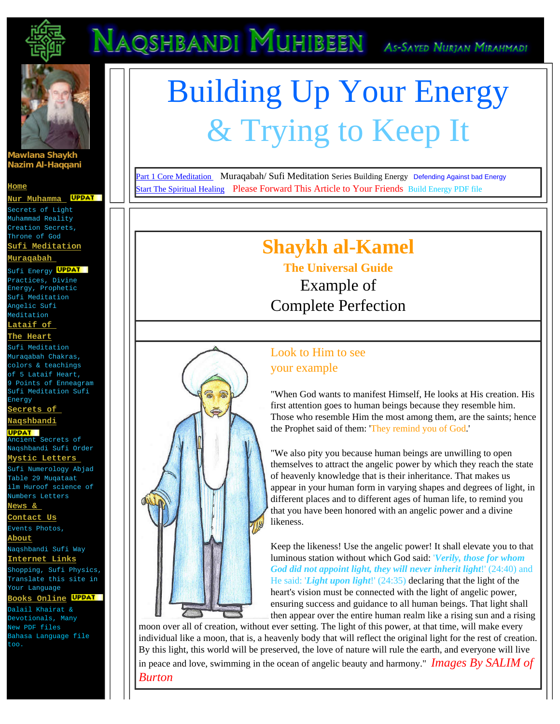

## NAQSHBANDI MUHIBEEN AS-SAYED NURJAN MIRAHMADI



### **Mawlana Shaykh Nazim Al-Haqqani**

#### **[Home](http://www.nurmuhammad.com/index.html)**

**UPDAT [Nur Muhamma](http://www.nurmuhammad.com/NurNabi/SecretsofNurMuhammad.html)** Secrets of Light Muhammad Reality Creation Secrets,

Throne of God **[Sufi Meditation](http://www.nurmuhammad.com/Meditation/Mainmeditationmuraqabah.htm)**

#### **[Muraqabah](http://www.nurmuhammad.com/Meditation/Mainmeditationmuraqabah.htm)**

Sufi Energy <mark>UPDAT</mark> Practices, Divine Energy, Prophetic Sufi Meditation Angelic Sufi Meditation **[Lataif of](http://www.nurmuhammad.com/HeartLevels/coverLataif5levelsofheart.htm)** 

#### **[The Heart](http://www.nurmuhammad.com/HeartLevels/coverLataif5levelsofheart.htm)**

Sufi Meditation Muraqabah Chakras, colors & teachings of 5 Lataif Heart, 9 Points of Enneagram Sufi Meditation Sufi Energy

**[Secrets of](http://www.nurmuhammad.com/NaqshbandiSecrets/mainNaqshbandiSecrets.html) [Naqshbandi](http://www.nurmuhammad.com/NaqshbandiSecrets/mainNaqshbandiSecrets.html)**

### **UPDAT**

Ancient Secrets of Naqshbandi Sufi Order **[Mystic Letters](http://www.nurmuhammad.com/IlmHuroof/IlmHuroofArticles/welcometothescienceofhuroof.htm)** 

Sufi Numerology Abjad Table 29 Muqataat ilm Huroof science of Numbers Letters **[News &](http://www.nurmuhammad.com/NewsEvents/nurmuhammadnaqshbandinews.html)** 

**[Contact Us](http://www.nurmuhammad.com/NewsEvents/nurmuhammadnaqshbandinews.html)**

Events Photos, **[About](http://www.nurmuhammad.com/NewsEvents/aboutnurmuhammad.html)**

Naqshbandi Sufi Way **[Internet Links](http://www.nurmuhammad.com/NewsEvents/links.html)**

Shopping, Sufi Physics, Translate this site in Your Language

**[Books Online](http://www.nurmuhammad.com/Dwnlds/NurMuhammadDownloads.html)** Dalail Khairat &

Devotionals, Many New PDF files Bahasa Language file too.

# Building Up Your Energy & Trying to Keep It

[Part 1 Core Meditation](http://www.nurmuhammad.com/Meditation/Core/naqshbandimeditationillustration.htm) Muraqabah/ Sufi Meditation Series Building Energy Defending Against bad Energy [Start The Spiritual Healing](http://www.nurmuhammad.com/Meditation/EnergyHealing/harvardhealinglecture.htm) Please Forward This Article to Your Friends Build Energy PDF file

## **Shaykh al-Kamel**

**The Universal Guide**  Example of Complete Perfection

### Look to Him to see your example

"When God wants to manifest Himself, He looks at His creation. His first attention goes to human beings because they resemble him. Those who resemble Him the most among them, are the saints; hence the Prophet said of them: 'They remind you of God.'

"We also pity you because human beings are unwilling to open themselves to attract the angelic power by which they reach the state of heavenly knowledge that is their inheritance. That makes us appear in your human form in varying shapes and degrees of light, in different places and to different ages of human life, to remind you that you have been honored with an angelic power and a divine likeness.

Keep the likeness! Use the angelic power! It shall elevate you to that luminous station without which God said: '*Verily, those for whom God did not appoint light, they will never inherit light*!' (24:40) and He said: '*Light upon light*!' (24:35) declaring that the light of the heart's vision must be connected with the light of angelic power, ensuring success and guidance to all human beings. That light shall then appear over the entire human realm like a rising sun and a rising

moon over all of creation, without ever setting. The light of this power, at that time, will make every individual like a moon, that is, a heavenly body that will reflect the original light for the rest of creation. By this light, this world will be preserved, the love of nature will rule the earth, and everyone will live in peace and love, swimming in the ocean of angelic beauty and harmony." *Images By SALIM of Burton*

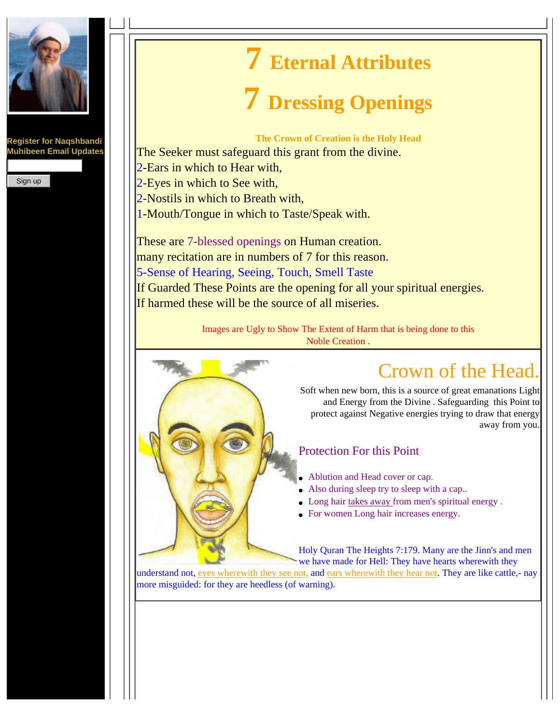

**Register for Naqshbandi Muhibeen Email Updates**

Sign up

# **7 Eternal Attributes**

## **7 Dressing Openings**

**The Crown of Creation is the Holy Head** 

The Seeker must safeguard this grant from the divine. 2-Ears in which to Hear with, 2-Eyes in which to See with, 2-Nostils in which to Breath with, 1-Mouth/Tongue in which to Taste/Speak with.

These are 7-blessed openings on Human creation. many recitation are in numbers of 7 for this reason. 5-Sense of Hearing, Seeing, Touch, Smell Taste If Guarded These Points are the opening for all your spiritual energies. If harmed these will be the source of all miseries.

> Images are Ugly to Show The Extent of Harm that is being done to this Noble Creation .



## Crown of the Head.

Soft when new born, this is a source of great emanations Light and Energy from the Divine . Safeguarding this Point to protect against Negative energies trying to draw that energy away from you.

### Protection For this Point

- Ablution and Head cover or cap.
- Also during sleep try to sleep with a cap..
- Long hair takes away from men's spiritual energy.
- For women Long hair increases energy.

Holy Quran The Heights 7:179. Many are the Jinn's and men we have made for Hell: They have hearts wherewith they

understand not, eyes wherewith they see not, and ears wherewith they hear not. They are like cattle,- nay more misguided: for they are heedless (of warning).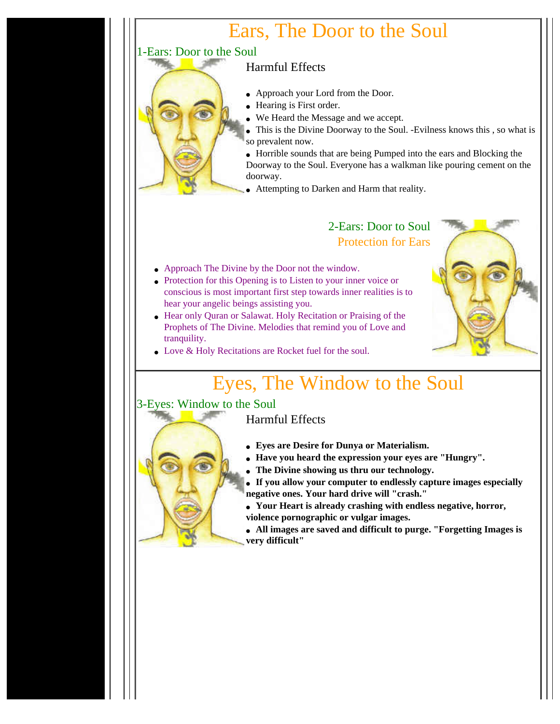## Ears, The Door to the Soul

### 1-Ears: Door to the Soul

### Harmful Effects

- Approach your Lord from the Door.
- Hearing is First order.
- We Heard the Message and we accept.
- This is the Divine Doorway to the Soul. -Evilness knows this , so what is so prevalent now.

• Horrible sounds that are being Pumped into the ears and Blocking the Doorway to the Soul. Everyone has a walkman like pouring cement on the doorway.

● Attempting to Darken and Harm that reality.

### 2-Ears: Door to Soul Protection for Ears

- Approach The Divine by the Door not the window.
- Protection for this Opening is to Listen to your inner voice or conscious is most important first step towards inner realities is to hear your angelic beings assisting you.
- Hear only Quran or Salawat. Holy Recitation or Praising of the Prophets of The Divine. Melodies that remind you of Love and tranquility.
- Love & Holy Recitations are Rocket fuel for the soul.

## Eyes, The Window to the Soul

### 3-Eyes: Window to the Soul

### Harmful Effects

- **Eyes are Desire for Dunya or Materialism.**
- **Have you heard the expression your eyes are "Hungry".**
- **The Divine showing us thru our technology.**
- **If you allow your computer to endlessly capture images especially negative ones. Your hard drive will "crash."**
- **Your Heart is already crashing with endless negative, horror, violence pornographic or vulgar images.**
- **All images are saved and difficult to purge. "Forgetting Images is very difficult"**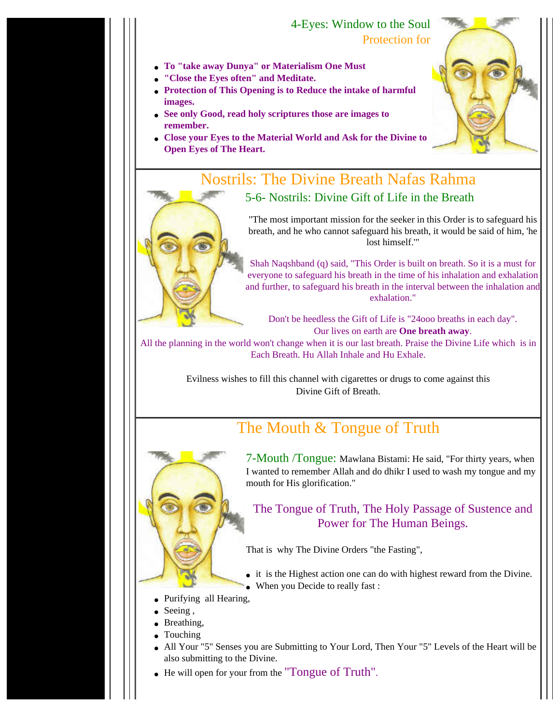### 4-Eyes: Window to the Soul Protection for

- **To "take away Dunya" or Materialism One Must**
- **"Close the Eyes often" and Meditate.**
- **Protection of This Opening is to Reduce the intake of harmful images.**
- **See only Good, read holy scriptures those are images to remember.**
- **Close your Eyes to the Material World and Ask for the Divine to Open Eyes of The Heart.**



"The most important mission for the seeker in this Order is to safeguard his breath, and he who cannot safeguard his breath, it would be said of him, 'he lost himself.'"

Shah Naqshband (q) said, "This Order is built on breath. So it is a must for everyone to safeguard his breath in the time of his inhalation and exhalation and further, to safeguard his breath in the interval between the inhalation and exhalation."

Don't be heedless the Gift of Life is "24ooo breaths in each day". Our lives on earth are **One breath away**.

All the planning in the world won't change when it is our last breath. Praise the Divine Life which is in Each Breath. Hu Allah Inhale and Hu Exhale.

> Evilness wishes to fill this channel with cigarettes or drugs to come against this Divine Gift of Breath.

## The Mouth & Tongue of Truth



7-Mouth /Tongue: Mawlana Bistami: He said, "For thirty years, when I wanted to remember Allah and do dhikr I used to wash my tongue and my mouth for His glorification."

The Tongue of Truth, The Holy Passage of Sustence and Power for The Human Beings.

That is why The Divine Orders "the Fasting",

• it is the Highest action one can do with highest reward from the Divine. • When you Decide to really fast :

- Purifying all Hearing,
- $\bullet$  Seeing,
- Breathing,
- Touching
- All Your "5" Senses you are Submitting to Your Lord, Then Your "5" Levels of the Heart will be also submitting to the Divine.
- He will open for your from the "Tongue of Truth".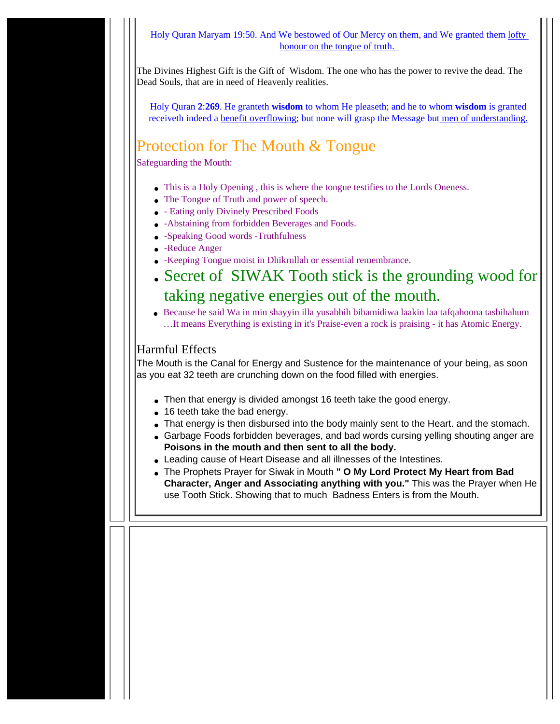Holy Quran Maryam 19:50. And We bestowed of Our Mercy on them, and We granted them lofty honour on the tongue of truth.

The Divines Highest Gift is the Gift of Wisdom. The one who has the power to revive the dead. The Dead Souls, that are in need of Heavenly realities.

Holy Quran **2**:**269**. He granteth **wisdom** to whom He pleaseth; and he to whom **wisdom** is granted receiveth indeed a benefit overflowing; but none will grasp the Message but men of understanding.

## Protection for The Mouth & Tongue

Safeguarding the Mouth:

- This is a Holy Opening, this is where the tongue testifies to the Lords Oneness.
- The Tongue of Truth and power of speech.
- - Eating only Divinely Prescribed Foods
- -Abstaining from forbidden Beverages and Foods.
- -Speaking Good words -Truthfulness
- -Reduce Anger
- -Keeping Tongue moist in Dhikrullah or essential remembrance.
- Secret of SIWAK Tooth stick is the grounding wood for taking negative energies out of the mouth.
- Because he said Wa in min shayyin illa yusabhih bihamidiwa laakin laa tafqahoona tasbihahum …It means Everything is existing in it's Praise-even a rock is praising - it has Atomic Energy.

### Harmful Effects

The Mouth is the Canal for Energy and Sustence for the maintenance of your being, as soon as you eat 32 teeth are crunching down on the food filled with energies.

- Then that energy is divided amongst 16 teeth take the good energy.
- 16 teeth take the bad energy.
- That energy is then disbursed into the body mainly sent to the Heart. and the stomach.
- Garbage Foods forbidden beverages, and bad words cursing yelling shouting anger are **Poisons in the mouth and then sent to all the body.**
- Leading cause of Heart Disease and all illnesses of the Intestines.
- The Prophets Prayer for Siwak in Mouth **" O My Lord Protect My Heart from Bad Character, Anger and Associating anything with you."** This was the Prayer when He use Tooth Stick. Showing that to much Badness Enters is from the Mouth.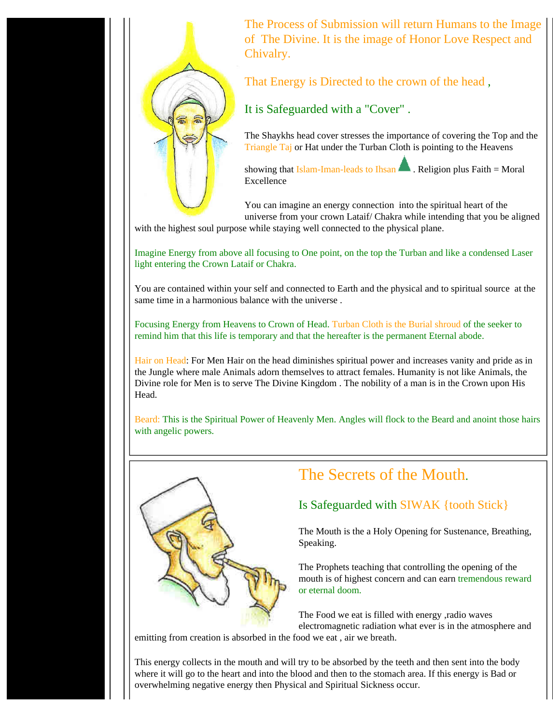

The Process of Submission will return Humans to the Image of The Divine. It is the image of Honor Love Respect and Chivalry.

That Energy is Directed to the crown of the head ,

It is Safeguarded with a "Cover" .

The Shaykhs head cover stresses the importance of covering the Top and the Triangle Taj or Hat under the Turban Cloth is pointing to the Heavens

showing that Islam-Iman-leads to Ihsan  $\blacksquare$ . Religion plus Faith = Moral Excellence

You can imagine an energy connection into the spiritual heart of the universe from your crown Lataif/ Chakra while intending that you be aligned

with the highest soul purpose while staying well connected to the physical plane.

Imagine Energy from above all focusing to One point, on the top the Turban and like a condensed Laser light entering the Crown Lataif or Chakra.

You are contained within your self and connected to Earth and the physical and to spiritual source at the same time in a harmonious balance with the universe .

Focusing Energy from Heavens to Crown of Head. Turban Cloth is the Burial shroud of the seeker to remind him that this life is temporary and that the hereafter is the permanent Eternal abode.

Hair on Head: For Men Hair on the head diminishes spiritual power and increases vanity and pride as in the Jungle where male Animals adorn themselves to attract females. Humanity is not like Animals, the Divine role for Men is to serve The Divine Kingdom . The nobility of a man is in the Crown upon His Head.

Beard: This is the Spiritual Power of Heavenly Men. Angles will flock to the Beard and anoint those hairs with angelic powers.



### The Secrets of the Mouth.

### Is Safeguarded with SIWAK {tooth Stick}

The Mouth is the a Holy Opening for Sustenance, Breathing, Speaking.

The Prophets teaching that controlling the opening of the mouth is of highest concern and can earn tremendous reward or eternal doom.

The Food we eat is filled with energy ,radio waves electromagnetic radiation what ever is in the atmosphere and

emitting from creation is absorbed in the food we eat , air we breath.

This energy collects in the mouth and will try to be absorbed by the teeth and then sent into the body where it will go to the heart and into the blood and then to the stomach area. If this energy is Bad or overwhelming negative energy then Physical and Spiritual Sickness occur.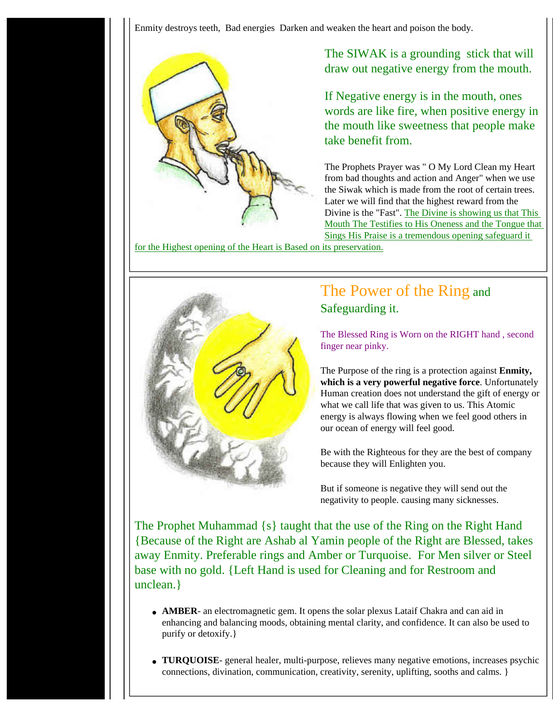Enmity destroys teeth, Bad energies Darken and weaken the heart and poison the body.



The SIWAK is a grounding stick that will draw out negative energy from the mouth.

If Negative energy is in the mouth, ones words are like fire, when positive energy in the mouth like sweetness that people make take benefit from.

The Prophets Prayer was " O My Lord Clean my Heart from bad thoughts and action and Anger" when we use the Siwak which is made from the root of certain trees. Later we will find that the highest reward from the Divine is the "Fast". The Divine is showing us that This Mouth The Testifies to His Oneness and the Tongue that Sings His Praise is a tremendous opening safeguard it

for the Highest opening of the Heart is Based on its preservation.



### The Power of the Ring and Safeguarding it.

The Blessed Ring is Worn on the RIGHT hand , second finger near pinky.

The Purpose of the ring is a protection against **Enmity, which is a very powerful negative force**. Unfortunately Human creation does not understand the gift of energy or what we call life that was given to us. This Atomic energy is always flowing when we feel good others in our ocean of energy will feel good.

Be with the Righteous for they are the best of company because they will Enlighten you.

But if someone is negative they will send out the negativity to people. causing many sicknesses.

The Prophet Muhammad {s} taught that the use of the Ring on the Right Hand {Because of the Right are Ashab al Yamin people of the Right are Blessed, takes away Enmity. Preferable rings and Amber or Turquoise. For Men silver or Steel base with no gold. {Left Hand is used for Cleaning and for Restroom and unclean.}

- **AMBER** an electromagnetic gem. It opens the solar plexus Lataif Chakra and can aid in enhancing and balancing moods, obtaining mental clarity, and confidence. It can also be used to purify or detoxify.}
- **TURQUOISE** general healer, multi-purpose, relieves many negative emotions, increases psychic connections, divination, communication, creativity, serenity, uplifting, sooths and calms. }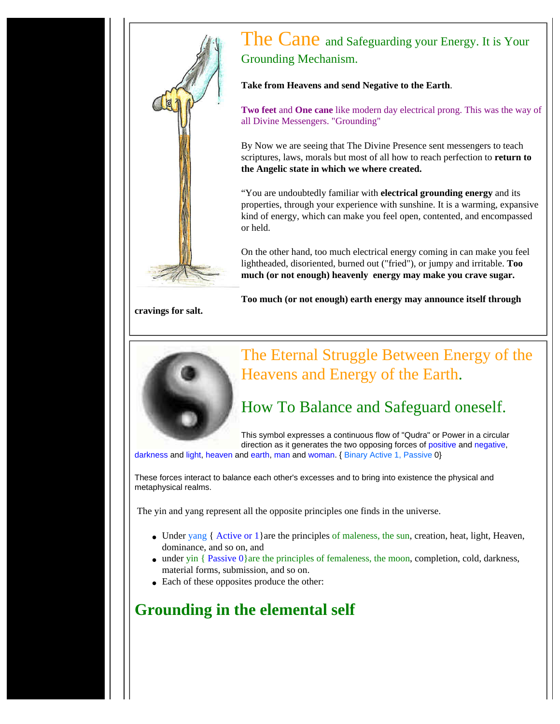

### The Cane and Safeguarding your Energy. It is Your Grounding Mechanism.

**Take from Heavens and send Negative to the Earth**.

**Two feet** and **One cane** like modern day electrical prong. This was the way of all Divine Messengers. "Grounding"

By Now we are seeing that The Divine Presence sent messengers to teach scriptures, laws, morals but most of all how to reach perfection to **return to the Angelic state in which we where created.**

"You are undoubtedly familiar with **electrical grounding energy** and its properties, through your experience with sunshine. It is a warming, expansive kind of energy, which can make you feel open, contented, and encompassed or held.

On the other hand, too much electrical energy coming in can make you feel lightheaded, disoriented, burned out ("fried"), or jumpy and irritable. **Too much (or not enough) heavenly energy may make you crave sugar.**

**Too much (or not enough) earth energy may announce itself through** 

**cravings for salt.**



## The Eternal Struggle Between Energy of the Heavens and Energy of the Earth.

## How To Balance and Safeguard oneself.

This symbol expresses a continuous flow of "Qudra" or Power in a circular direction as it generates the two opposing forces of positive and negative,

darkness and light, heaven and earth, man and woman. { Binary Active 1, Passive 0}

These forces interact to balance each other's excesses and to bring into existence the physical and metaphysical realms.

The yin and yang represent all the opposite principles one finds in the universe.

- Under yang { Active or 1} are the principles of maleness, the sun, creation, heat, light, Heaven, dominance, and so on, and
- under yin  $\{$  Passive  $0\}$ are the principles of femaleness, the moon, completion, cold, darkness, material forms, submission, and so on.
- Each of these opposites produce the other:

## **Grounding in the elemental self**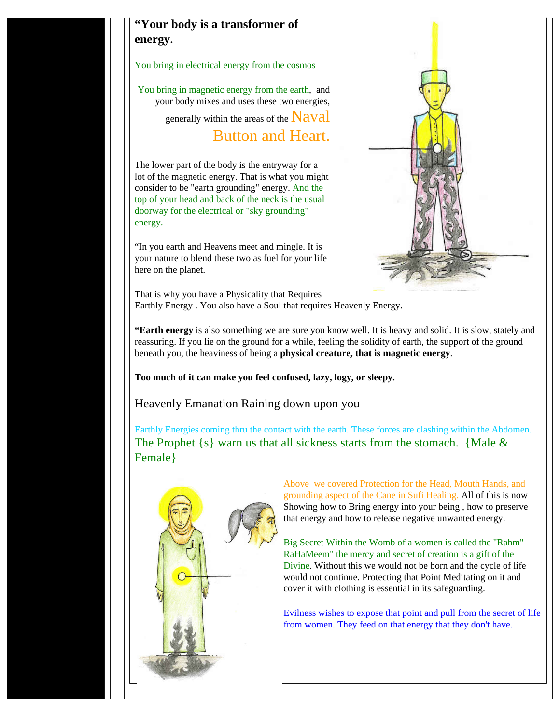### **"Your body is a transformer of energy.**

You bring in electrical energy from the cosmos

You bring in magnetic energy from the earth, and your body mixes and uses these two energies,

generally within the areas of the  $\text{Naval}$ 

Button and Heart.

The lower part of the body is the entryway for a lot of the magnetic energy. That is what you might consider to be "earth grounding" energy. And the top of your head and back of the neck is the usual doorway for the electrical or "sky grounding" energy.

"In you earth and Heavens meet and mingle. It is your nature to blend these two as fuel for your life here on the planet.



That is why you have a Physicality that Requires Earthly Energy . You also have a Soul that requires Heavenly Energy.

**"Earth energy** is also something we are sure you know well. It is heavy and solid. It is slow, stately and reassuring. If you lie on the ground for a while, feeling the solidity of earth, the support of the ground beneath you, the heaviness of being a **physical creature, that is magnetic energy**.

**Too much of it can make you feel confused, lazy, logy, or sleepy.** 

Heavenly Emanation Raining down upon you

Earthly Energies coming thru the contact with the earth. These forces are clashing within the Abdomen. The Prophet  $\{s\}$  warn us that all sickness starts from the stomach. {Male  $\&$ Female}



Above we covered Protection for the Head, Mouth Hands, and grounding aspect of the Cane in Sufi Healing. All of this is now Showing how to Bring energy into your being , how to preserve that energy and how to release negative unwanted energy.

Big Secret Within the Womb of a women is called the "Rahm" RaHaMeem" the mercy and secret of creation is a gift of the Divine. Without this we would not be born and the cycle of life would not continue. Protecting that Point Meditating on it and cover it with clothing is essential in its safeguarding.

Evilness wishes to expose that point and pull from the secret of life from women. They feed on that energy that they don't have.